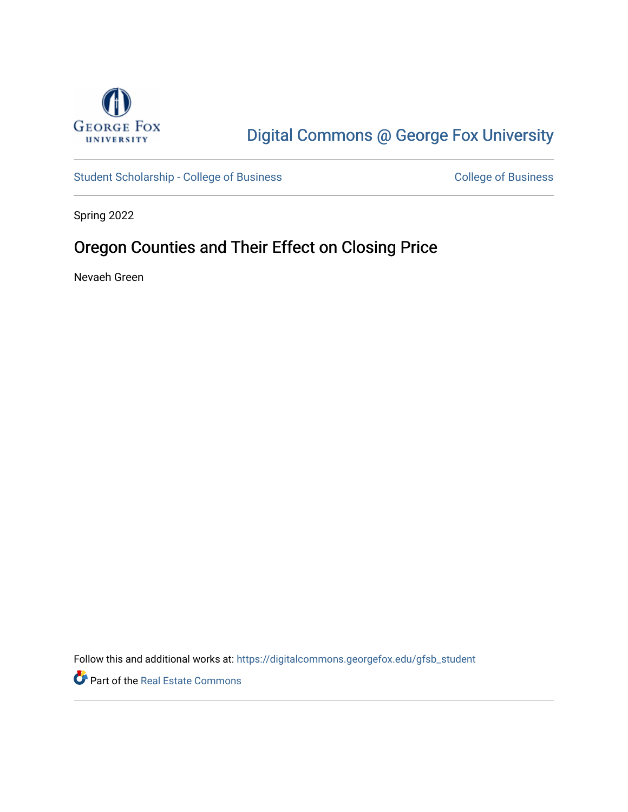

# [Digital Commons @ George Fox University](https://digitalcommons.georgefox.edu/)

[Student Scholarship - College of Business](https://digitalcommons.georgefox.edu/gfsb_student) [College of Business](https://digitalcommons.georgefox.edu/business) College of Business

Spring 2022

## Oregon Counties and Their Effect on Closing Price

Nevaeh Green

Follow this and additional works at: [https://digitalcommons.georgefox.edu/gfsb\\_student](https://digitalcommons.georgefox.edu/gfsb_student?utm_source=digitalcommons.georgefox.edu%2Fgfsb_student%2F19&utm_medium=PDF&utm_campaign=PDFCoverPages) 

Part of the [Real Estate Commons](https://network.bepress.com/hgg/discipline/641?utm_source=digitalcommons.georgefox.edu%2Fgfsb_student%2F19&utm_medium=PDF&utm_campaign=PDFCoverPages)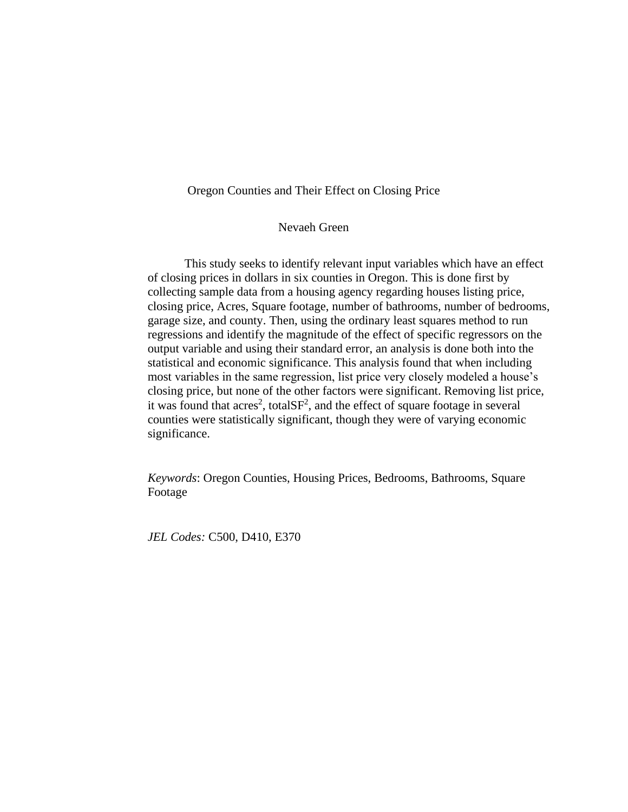## Oregon Counties and Their Effect on Closing Price

## Nevaeh Green

This study seeks to identify relevant input variables which have an effect of closing prices in dollars in six counties in Oregon. This is done first by collecting sample data from a housing agency regarding houses listing price, closing price, Acres, Square footage, number of bathrooms, number of bedrooms, garage size, and county. Then, using the ordinary least squares method to run regressions and identify the magnitude of the effect of specific regressors on the output variable and using their standard error, an analysis is done both into the statistical and economic significance. This analysis found that when including most variables in the same regression, list price very closely modeled a house's closing price, but none of the other factors were significant. Removing list price, it was found that acres<sup>2</sup>, totalSF<sup>2</sup>, and the effect of square footage in several counties were statistically significant, though they were of varying economic significance.

*Keywords*: Oregon Counties, Housing Prices, Bedrooms, Bathrooms, Square Footage

*JEL Codes:* C500, D410, E370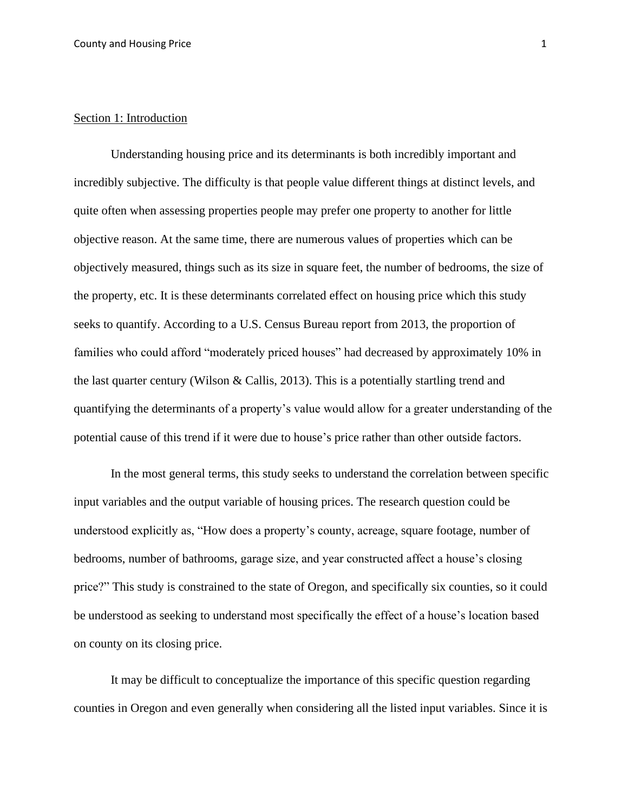### Section 1: Introduction

Understanding housing price and its determinants is both incredibly important and incredibly subjective. The difficulty is that people value different things at distinct levels, and quite often when assessing properties people may prefer one property to another for little objective reason. At the same time, there are numerous values of properties which can be objectively measured, things such as its size in square feet, the number of bedrooms, the size of the property, etc. It is these determinants correlated effect on housing price which this study seeks to quantify. According to a U.S. Census Bureau report from 2013, the proportion of families who could afford "moderately priced houses" had decreased by approximately 10% in the last quarter century (Wilson & Callis, 2013). This is a potentially startling trend and quantifying the determinants of a property's value would allow for a greater understanding of the potential cause of this trend if it were due to house's price rather than other outside factors.

In the most general terms, this study seeks to understand the correlation between specific input variables and the output variable of housing prices. The research question could be understood explicitly as, "How does a property's county, acreage, square footage, number of bedrooms, number of bathrooms, garage size, and year constructed affect a house's closing price?" This study is constrained to the state of Oregon, and specifically six counties, so it could be understood as seeking to understand most specifically the effect of a house's location based on county on its closing price.

It may be difficult to conceptualize the importance of this specific question regarding counties in Oregon and even generally when considering all the listed input variables. Since it is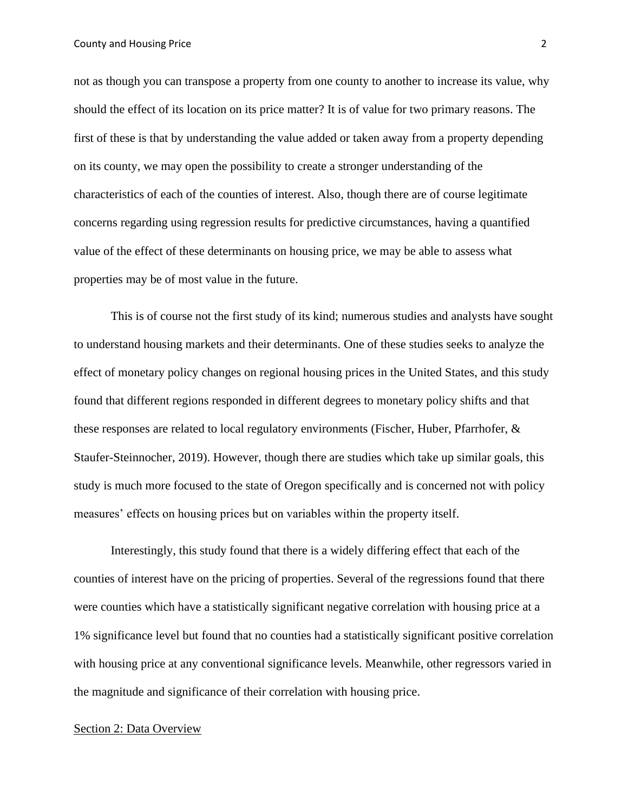#### County and Housing Price 2

not as though you can transpose a property from one county to another to increase its value, why should the effect of its location on its price matter? It is of value for two primary reasons. The first of these is that by understanding the value added or taken away from a property depending on its county, we may open the possibility to create a stronger understanding of the characteristics of each of the counties of interest. Also, though there are of course legitimate concerns regarding using regression results for predictive circumstances, having a quantified value of the effect of these determinants on housing price, we may be able to assess what properties may be of most value in the future.

This is of course not the first study of its kind; numerous studies and analysts have sought to understand housing markets and their determinants. One of these studies seeks to analyze the effect of monetary policy changes on regional housing prices in the United States, and this study found that different regions responded in different degrees to monetary policy shifts and that these responses are related to local regulatory environments (Fischer, Huber, Pfarrhofer, & Staufer-Steinnocher, 2019). However, though there are studies which take up similar goals, this study is much more focused to the state of Oregon specifically and is concerned not with policy measures' effects on housing prices but on variables within the property itself.

Interestingly, this study found that there is a widely differing effect that each of the counties of interest have on the pricing of properties. Several of the regressions found that there were counties which have a statistically significant negative correlation with housing price at a 1% significance level but found that no counties had a statistically significant positive correlation with housing price at any conventional significance levels. Meanwhile, other regressors varied in the magnitude and significance of their correlation with housing price.

### Section 2: Data Overview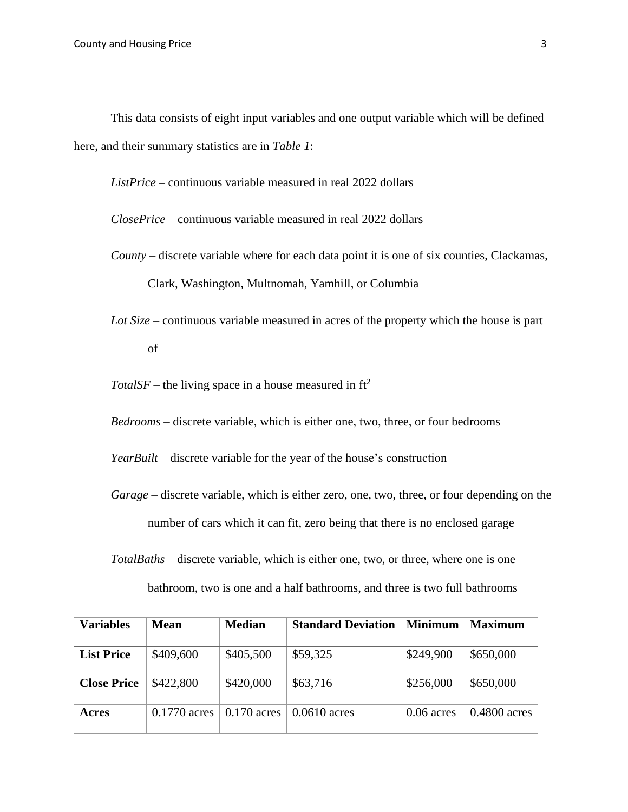This data consists of eight input variables and one output variable which will be defined here, and their summary statistics are in *Table 1*:

*ListPrice* – continuous variable measured in real 2022 dollars

*ClosePrice* – continuous variable measured in real 2022 dollars

- *County* discrete variable where for each data point it is one of six counties, Clackamas, Clark, Washington, Multnomah, Yamhill, or Columbia
- *Lot Size* continuous variable measured in acres of the property which the house is part of

 $TotalSF$  – the living space in a house measured in  $ft^2$ 

*Bedrooms* – discrete variable, which is either one, two, three, or four bedrooms

*YearBuilt* – discrete variable for the year of the house's construction

*Garage* – discrete variable, which is either zero, one, two, three, or four depending on the number of cars which it can fit, zero being that there is no enclosed garage

*TotalBaths* – discrete variable, which is either one, two, or three, where one is one bathroom, two is one and a half bathrooms, and three is two full bathrooms

| <b>Variables</b>   | Mean           | <b>Median</b> | <b>Standard Deviation</b> | <b>Minimum</b> | <b>Maximum</b> |
|--------------------|----------------|---------------|---------------------------|----------------|----------------|
| <b>List Price</b>  | \$409,600      | \$405,500     | \$59,325                  | \$249,900      | \$650,000      |
| <b>Close Price</b> | \$422,800      | \$420,000     | \$63,716                  | \$256,000      | \$650,000      |
| Acres              | $0.1770$ acres | $0.170$ acres | $0.0610$ acres            | $0.06$ acres   | $0.4800$ acres |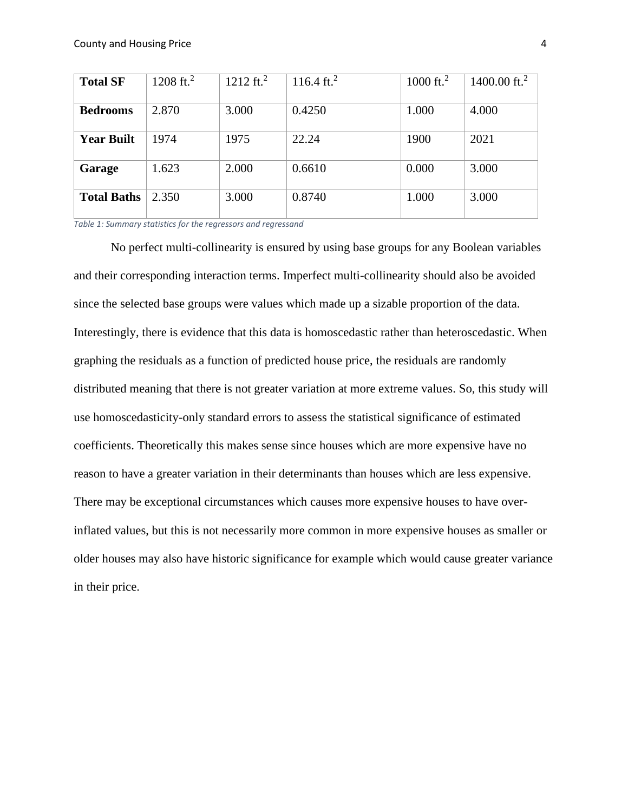| <b>Total SF</b>    | 1208 ft. <sup>2</sup> | $1212 \text{ ft.}^2$ | 116.4 ft. <sup>2</sup> | 1000 ft. <sup>2</sup> | 1400.00 ft. <sup>2</sup> |
|--------------------|-----------------------|----------------------|------------------------|-----------------------|--------------------------|
| <b>Bedrooms</b>    | 2.870                 | 3.000                | 0.4250                 | 1.000                 | 4.000                    |
| <b>Year Built</b>  | 1974                  | 1975                 | 22.24                  | 1900                  | 2021                     |
| Garage             | 1.623                 | 2.000                | 0.6610                 | 0.000                 | 3.000                    |
| <b>Total Baths</b> | 2.350                 | 3.000                | 0.8740                 | 1.000                 | 3.000                    |

*Table 1: Summary statistics for the regressors and regressand*

No perfect multi-collinearity is ensured by using base groups for any Boolean variables and their corresponding interaction terms. Imperfect multi-collinearity should also be avoided since the selected base groups were values which made up a sizable proportion of the data. Interestingly, there is evidence that this data is homoscedastic rather than heteroscedastic. When graphing the residuals as a function of predicted house price, the residuals are randomly distributed meaning that there is not greater variation at more extreme values. So, this study will use homoscedasticity-only standard errors to assess the statistical significance of estimated coefficients. Theoretically this makes sense since houses which are more expensive have no reason to have a greater variation in their determinants than houses which are less expensive. There may be exceptional circumstances which causes more expensive houses to have overinflated values, but this is not necessarily more common in more expensive houses as smaller or older houses may also have historic significance for example which would cause greater variance in their price.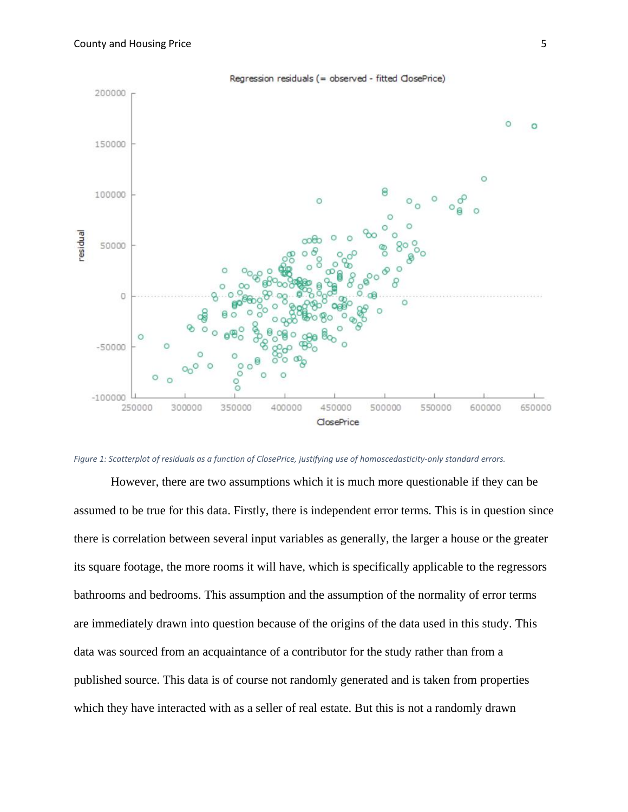

*Figure 1: Scatterplot of residuals as a function of ClosePrice, justifying use of homoscedasticity-only standard errors.*

However, there are two assumptions which it is much more questionable if they can be assumed to be true for this data. Firstly, there is independent error terms. This is in question since there is correlation between several input variables as generally, the larger a house or the greater its square footage, the more rooms it will have, which is specifically applicable to the regressors bathrooms and bedrooms. This assumption and the assumption of the normality of error terms are immediately drawn into question because of the origins of the data used in this study. This data was sourced from an acquaintance of a contributor for the study rather than from a published source. This data is of course not randomly generated and is taken from properties which they have interacted with as a seller of real estate. But this is not a randomly drawn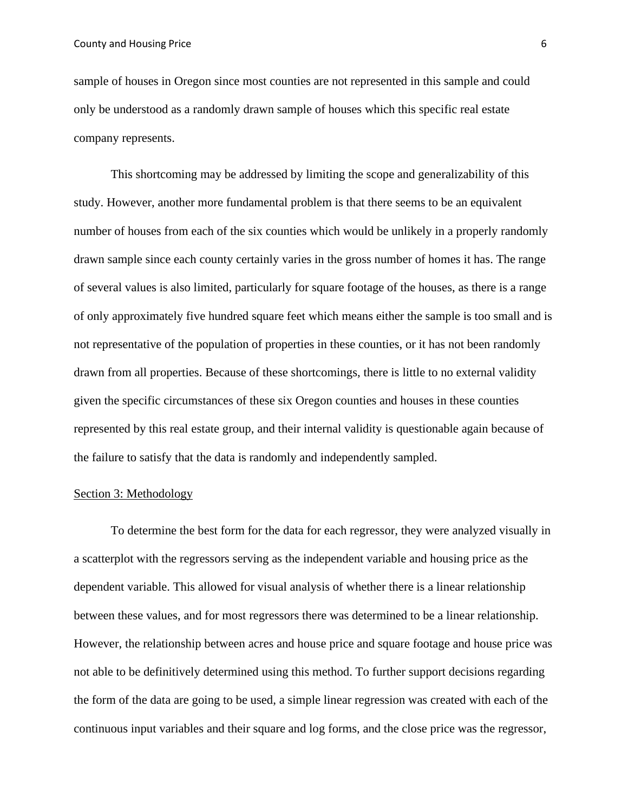sample of houses in Oregon since most counties are not represented in this sample and could only be understood as a randomly drawn sample of houses which this specific real estate company represents.

This shortcoming may be addressed by limiting the scope and generalizability of this study. However, another more fundamental problem is that there seems to be an equivalent number of houses from each of the six counties which would be unlikely in a properly randomly drawn sample since each county certainly varies in the gross number of homes it has. The range of several values is also limited, particularly for square footage of the houses, as there is a range of only approximately five hundred square feet which means either the sample is too small and is not representative of the population of properties in these counties, or it has not been randomly drawn from all properties. Because of these shortcomings, there is little to no external validity given the specific circumstances of these six Oregon counties and houses in these counties represented by this real estate group, and their internal validity is questionable again because of the failure to satisfy that the data is randomly and independently sampled.

#### Section 3: Methodology

To determine the best form for the data for each regressor, they were analyzed visually in a scatterplot with the regressors serving as the independent variable and housing price as the dependent variable. This allowed for visual analysis of whether there is a linear relationship between these values, and for most regressors there was determined to be a linear relationship. However, the relationship between acres and house price and square footage and house price was not able to be definitively determined using this method. To further support decisions regarding the form of the data are going to be used, a simple linear regression was created with each of the continuous input variables and their square and log forms, and the close price was the regressor,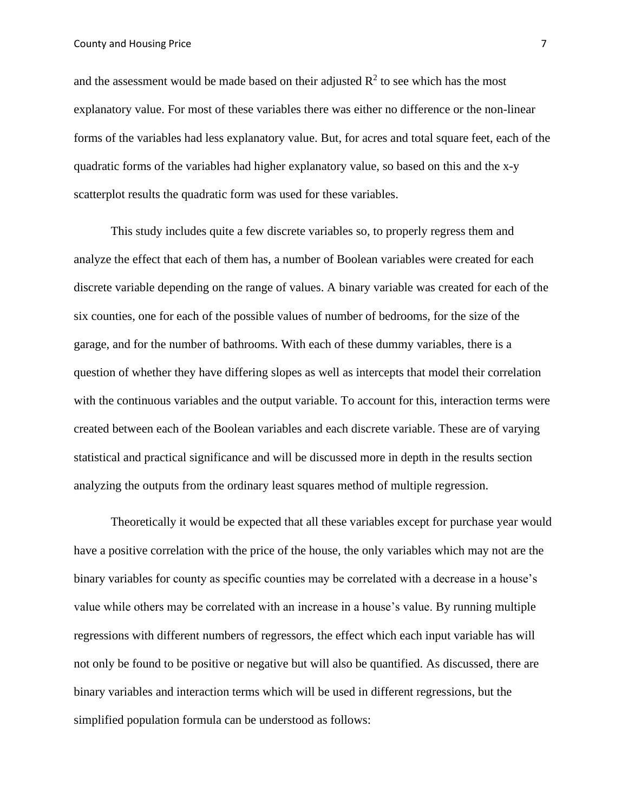and the assessment would be made based on their adjusted  $R^2$  to see which has the most explanatory value. For most of these variables there was either no difference or the non-linear forms of the variables had less explanatory value. But, for acres and total square feet, each of the quadratic forms of the variables had higher explanatory value, so based on this and the x-y scatterplot results the quadratic form was used for these variables.

This study includes quite a few discrete variables so, to properly regress them and analyze the effect that each of them has, a number of Boolean variables were created for each discrete variable depending on the range of values. A binary variable was created for each of the six counties, one for each of the possible values of number of bedrooms, for the size of the garage, and for the number of bathrooms. With each of these dummy variables, there is a question of whether they have differing slopes as well as intercepts that model their correlation with the continuous variables and the output variable. To account for this, interaction terms were created between each of the Boolean variables and each discrete variable. These are of varying statistical and practical significance and will be discussed more in depth in the results section analyzing the outputs from the ordinary least squares method of multiple regression.

Theoretically it would be expected that all these variables except for purchase year would have a positive correlation with the price of the house, the only variables which may not are the binary variables for county as specific counties may be correlated with a decrease in a house's value while others may be correlated with an increase in a house's value. By running multiple regressions with different numbers of regressors, the effect which each input variable has will not only be found to be positive or negative but will also be quantified. As discussed, there are binary variables and interaction terms which will be used in different regressions, but the simplified population formula can be understood as follows: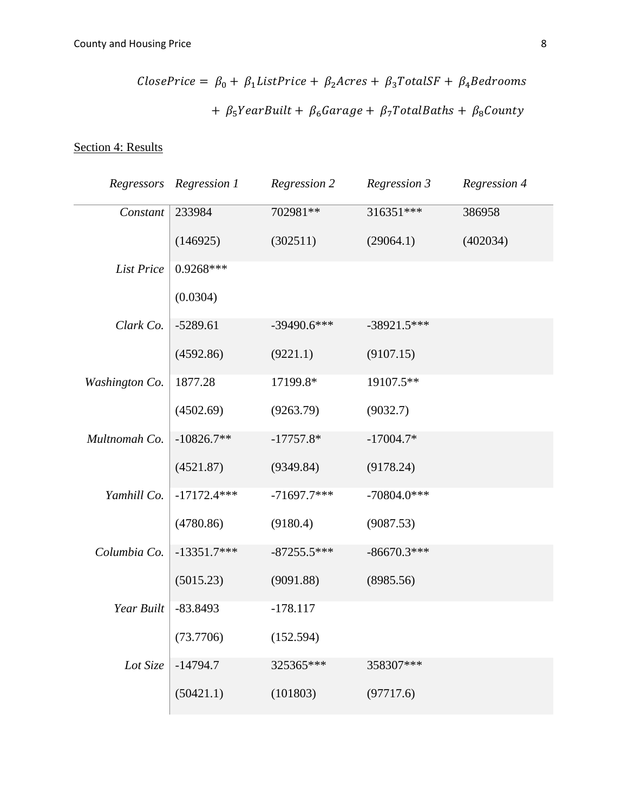$$
ClosePrice = \beta_0 + \beta_1 ListPrice + \beta_2 Across + \beta_3 Total SF + \beta_4 Bedrooms
$$

$$
+ \beta_5 YearBuild + \beta_6 Garage + \beta_7 TotalBaths + \beta_8 County
$$

Section 4: Results

| Regressors        | Regression 1  | Regression 2  | Regression 3  | Regression 4 |
|-------------------|---------------|---------------|---------------|--------------|
| Constant          | 233984        | 702981**      | 316351***     | 386958       |
|                   | (146925)      | (302511)      | (29064.1)     | (402034)     |
| <b>List Price</b> | $0.9268***$   |               |               |              |
|                   | (0.0304)      |               |               |              |
| Clark Co.         | $-5289.61$    | $-39490.6***$ | $-38921.5***$ |              |
|                   | (4592.86)     | (9221.1)      | (9107.15)     |              |
| Washington Co.    | 1877.28       | 17199.8*      | 19107.5**     |              |
|                   | (4502.69)     | (9263.79)     | (9032.7)      |              |
| Multnomah Co.     | $-10826.7**$  | $-17757.8*$   | $-17004.7*$   |              |
|                   | (4521.87)     | (9349.84)     | (9178.24)     |              |
| Yamhill Co.       | $-17172.4***$ | $-71697.7***$ | $-70804.0***$ |              |
|                   | (4780.86)     | (9180.4)      | (9087.53)     |              |
| Columbia Co.      | $-13351.7***$ | $-87255.5***$ | $-86670.3***$ |              |
|                   | (5015.23)     | (9091.88)     | (8985.56)     |              |
| Year Built        | $-83.8493$    | $-178.117$    |               |              |
|                   | (73.7706)     | (152.594)     |               |              |
| Lot Size          | $-14794.7$    | 325365***     | 358307***     |              |
|                   | (50421.1)     | (101803)      | (97717.6)     |              |
|                   |               |               |               |              |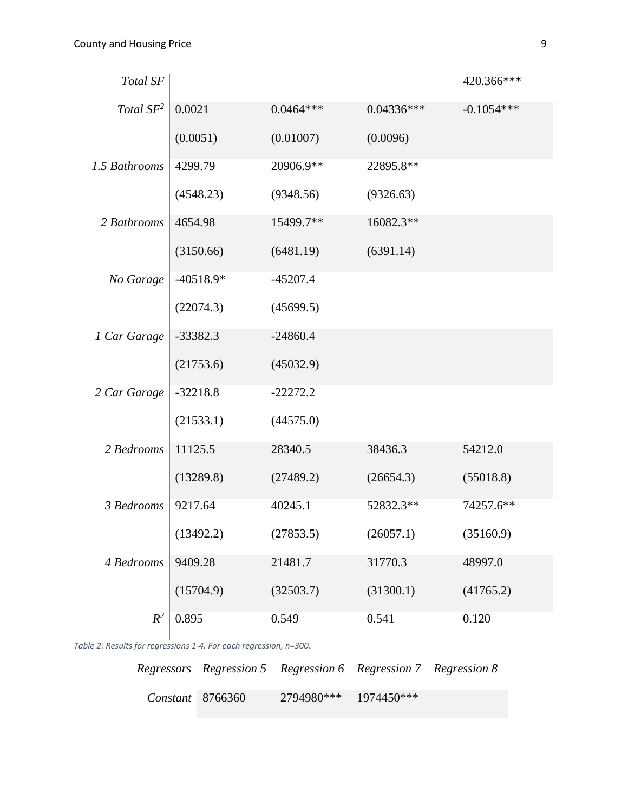| Total SF      |             |             |              | 420.366***   |
|---------------|-------------|-------------|--------------|--------------|
| Total $SF^2$  | 0.0021      | $0.0464***$ | $0.04336***$ | $-0.1054***$ |
|               | (0.0051)    | (0.01007)   | (0.0096)     |              |
| 1.5 Bathrooms | 4299.79     | 20906.9**   | 22895.8**    |              |
|               | (4548.23)   | (9348.56)   | (9326.63)    |              |
| 2 Bathrooms   | 4654.98     | 15499.7**   | 16082.3**    |              |
|               | (3150.66)   | (6481.19)   | (6391.14)    |              |
| No Garage     | $-40518.9*$ | $-45207.4$  |              |              |
|               | (22074.3)   | (45699.5)   |              |              |
| 1 Car Garage  | $-33382.3$  | $-24860.4$  |              |              |
|               | (21753.6)   | (45032.9)   |              |              |
| 2 Car Garage  | $-32218.8$  | $-22272.2$  |              |              |
|               | (21533.1)   | (44575.0)   |              |              |
| 2 Bedrooms    | 11125.5     | 28340.5     | 38436.3      | 54212.0      |
|               | (13289.8)   | (27489.2)   | (26654.3)    | (55018.8)    |
| 3 Bedrooms    | 9217.64     | 40245.1     | 52832.3**    | 74257.6**    |
|               | (13492.2)   | (27853.5)   | (26057.1)    | (35160.9)    |
| 4 Bedrooms    | 9409.28     | 21481.7     | 31770.3      | 48997.0      |
|               | (15704.9)   | (32503.7)   | (31300.1)    | (41765.2)    |
| $R^2$         | 0.895       | 0.549       | 0.541        | 0.120        |

*Table 2: Results for regressions 1-4. For each regression, n=300.*

*Regressors Regression 5 Regression 6 Regression 7 Regression 8*

| Constant   $8766360$ | 2794980*** 1974450*** |  |
|----------------------|-----------------------|--|
|                      |                       |  |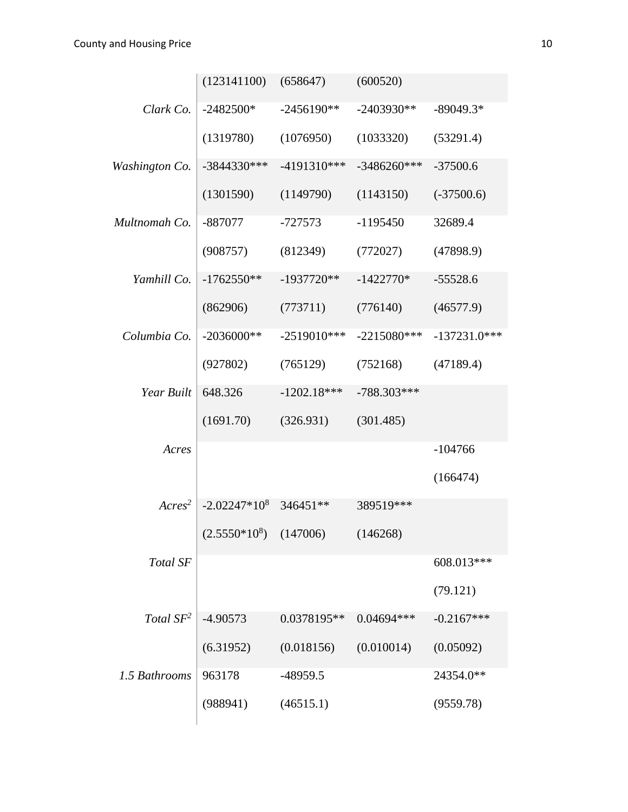|                | (123141100)                | (658647)      | (600520)      |                |
|----------------|----------------------------|---------------|---------------|----------------|
| Clark Co.      | $-2482500*$                | $-2456190**$  | $-2403930**$  | $-89049.3*$    |
|                | (1319780)                  | (1076950)     | (1033320)     | (53291.4)      |
| Washington Co. | $-3844330***$              | -4191310***   | $-3486260***$ | $-37500.6$     |
|                | (1301590)                  | (1149790)     | (1143150)     | $(-37500.6)$   |
| Multnomah Co.  | -887077                    | $-727573$     | $-1195450$    | 32689.4        |
|                | (908757)                   | (812349)      | (772027)      | (47898.9)      |
| Yamhill Co.    | $-1762550**$               | $-1937720**$  | $-1422770*$   | $-55528.6$     |
|                | (862906)                   | (773711)      | (776140)      | (46577.9)      |
| Columbia Co.   | $-2036000**$               | $-2519010***$ | $-2215080***$ | $-137231.0***$ |
|                | (927802)                   | (765129)      | (752168)      | (47189.4)      |
| Year Built     | 648.326                    | $-1202.18***$ | $-788.303***$ |                |
|                | (1691.70)                  | (326.931)     | (301.485)     |                |
| Acres          |                            |               |               | $-104766$      |
|                |                            |               |               | (166474)       |
| $Arcres^2$     | $-2.02247*108$             | 346451**      | 389519***     |                |
|                | $(2.5550*10^8)$ $(147006)$ |               | (146268)      |                |
| Total SF       |                            |               |               | 608.013***     |
|                |                            |               |               | (79.121)       |
| Total $SF^2$   | $-4.90573$                 | 0.0378195**   | 0.04694 ***   | $-0.2167***$   |
|                | (6.31952)                  | (0.018156)    | (0.010014)    | (0.05092)      |
| 1.5 Bathrooms  | 963178                     | $-48959.5$    |               | 24354.0**      |
|                | (988941)                   | (46515.1)     |               | (9559.78)      |
|                |                            |               |               |                |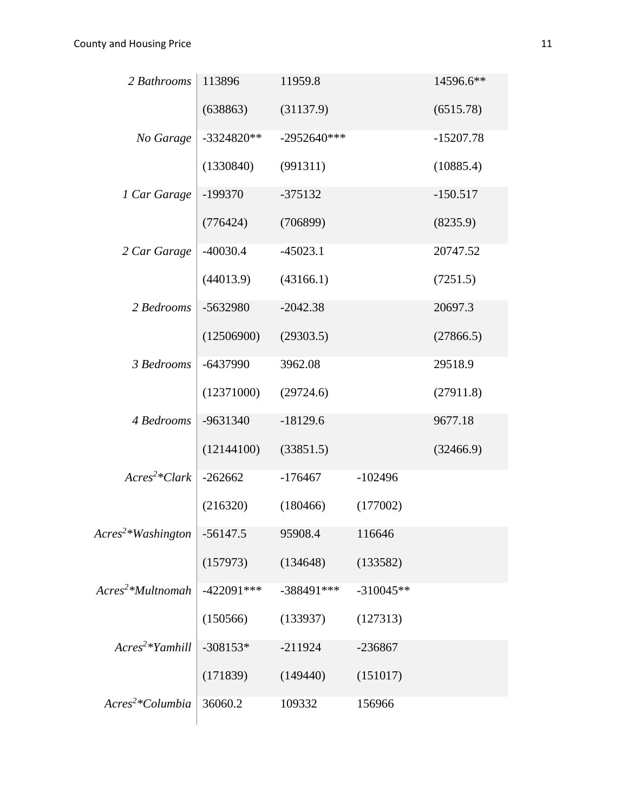| 2 Bathrooms                       | 113896       | 11959.8       |             | 14596.6**   |
|-----------------------------------|--------------|---------------|-------------|-------------|
|                                   | (638863)     | (31137.9)     |             | (6515.78)   |
| No Garage                         | $-3324820**$ | $-2952640***$ |             | $-15207.78$ |
|                                   | (1330840)    | (991311)      |             | (10885.4)   |
| 1 Car Garage                      | $-199370$    | $-375132$     |             | $-150.517$  |
|                                   | (776424)     | (706899)      |             | (8235.9)    |
| 2 Car Garage                      | $-40030.4$   | $-45023.1$    |             | 20747.52    |
|                                   | (44013.9)    | (43166.1)     |             | (7251.5)    |
| 2 Bedrooms                        | -5632980     | $-2042.38$    |             | 20697.3     |
|                                   | (12506900)   | (29303.5)     |             | (27866.5)   |
| 3 Bedrooms                        | $-6437990$   | 3962.08       |             | 29518.9     |
|                                   | (12371000)   | (29724.6)     |             | (27911.8)   |
| 4 Bedrooms                        | -9631340     | $-18129.6$    |             | 9677.18     |
|                                   | (12144100)   | (33851.5)     |             | (32466.9)   |
| $Arcrs^2*Clark$                   | $-262662$    | $-176467$     | $-102496$   |             |
|                                   | (216320)     | (180466)      | (177002)    |             |
| $A$ cres <sup>2</sup> *Washington | $-56147.5$   | 95908.4       | 116646      |             |
|                                   | (157973)     | (134648)      | (133582)    |             |
| $Arcres2*Multnomah$               | $-422091***$ | -388491 ***   | $-310045**$ |             |
|                                   | (150566)     | (133937)      | (127313)    |             |
| $Arcres2*Yamhill$                 | $-308153*$   | $-211924$     | $-236867$   |             |
|                                   | (171839)     | (149440)      | (151017)    |             |
| Acres <sup>2</sup> *Columbia      | 36060.2      | 109332        | 156966      |             |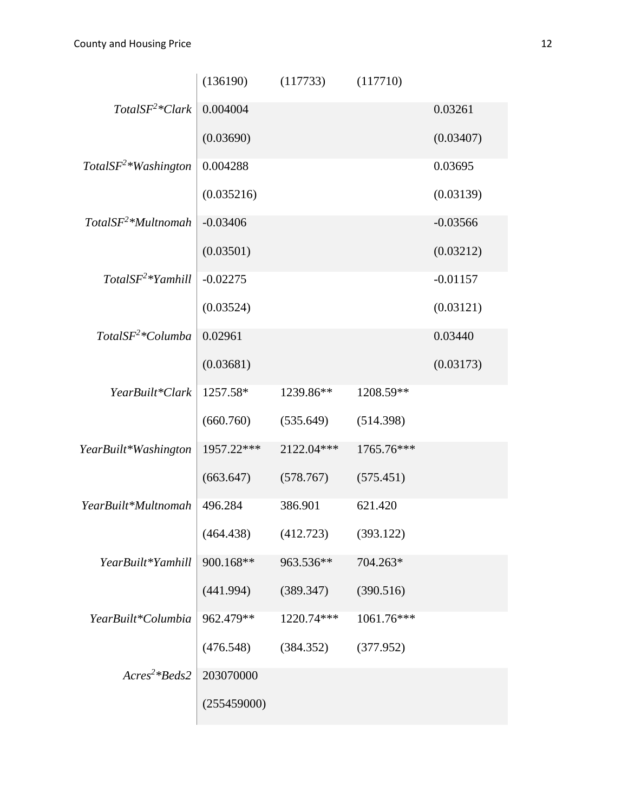|                       | (136190)    | (117733)   | (117710)   |            |
|-----------------------|-------------|------------|------------|------------|
| $TotalSF2*Clark$      | 0.004004    |            |            | 0.03261    |
|                       | (0.03690)   |            |            | (0.03407)  |
| $TotalSF2*Washington$ | 0.004288    |            |            | 0.03695    |
|                       | (0.035216)  |            |            | (0.03139)  |
| $TotalSF^2*Multnomah$ | $-0.03406$  |            |            | $-0.03566$ |
|                       | (0.03501)   |            |            | (0.03212)  |
| $TotalSF2*Yamhill$    | $-0.02275$  |            |            | $-0.01157$ |
|                       | (0.03524)   |            |            | (0.03121)  |
| $TotalSF2*Columnba$   | 0.02961     |            |            | 0.03440    |
|                       | (0.03681)   |            |            | (0.03173)  |
| YearBuilt*Clark       | 1257.58*    | 1239.86**  | 1208.59**  |            |
|                       | (660.760)   | (535.649)  | (514.398)  |            |
| YearBuilt*Washington  | 1957.22***  | 2122.04*** | 1765.76*** |            |
|                       | (663.647)   | (578.767)  | (575.451)  |            |
| YearBuilt*Multnomah   | 496.284     | 386.901    | 621.420    |            |
|                       | (464.438)   | (412.723)  | (393.122)  |            |
| YearBuilt*Yamhill     | 900.168**   | 963.536**  | 704.263*   |            |
|                       | (441.994)   | (389.347)  | (390.516)  |            |
| YearBuilt*Columbia    | 962.479**   | 1220.74*** | 1061.76*** |            |
|                       | (476.548)   | (384.352)  | (377.952)  |            |
| $Arcres^2*Beds2$      | 203070000   |            |            |            |
|                       | (255459000) |            |            |            |
|                       |             |            |            |            |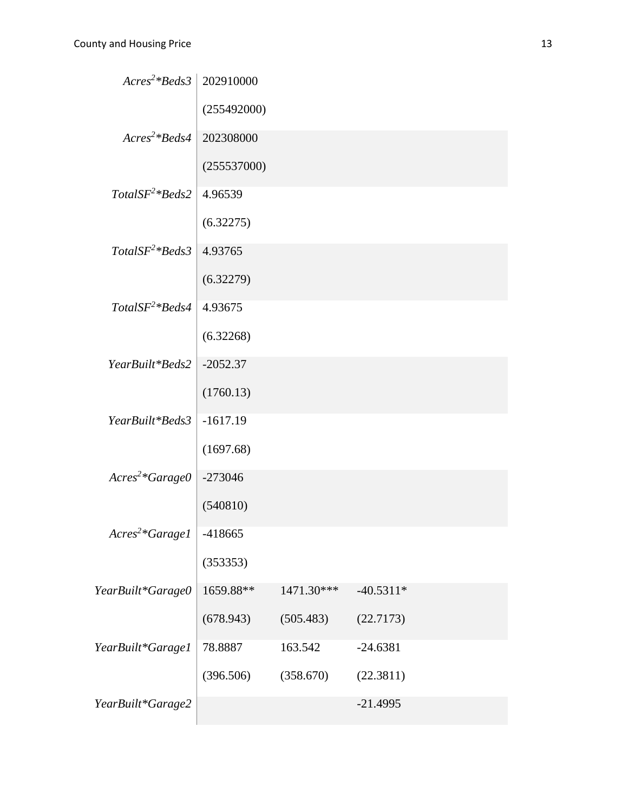| $Arcres^2*Beds3$            | 202910000   |            |             |  |
|-----------------------------|-------------|------------|-------------|--|
|                             | (255492000) |            |             |  |
| $Arcres^2*Beds4$            | 202308000   |            |             |  |
|                             | (255537000) |            |             |  |
| $TotalSF2*Beds2$            | 4.96539     |            |             |  |
|                             | (6.32275)   |            |             |  |
| $TotalSF2*Beds3$            | 4.93765     |            |             |  |
|                             | (6.32279)   |            |             |  |
| $TotalSF2*Beds4$            | 4.93675     |            |             |  |
|                             | (6.32268)   |            |             |  |
| YearBuilt*Beds2             | $-2052.37$  |            |             |  |
|                             | (1760.13)   |            |             |  |
| YearBuilt*Beds3             | $-1617.19$  |            |             |  |
|                             | (1697.68)   |            |             |  |
| $Arcres^2*Garage0$          | $-273046$   |            |             |  |
|                             | (540810)    |            |             |  |
| Acres <sup>2</sup> *Garage1 | -418665     |            |             |  |
|                             | (353353)    |            |             |  |
| YearBuilt*Garage0           | 1659.88**   | 1471.30*** | $-40.5311*$ |  |
|                             | (678.943)   | (505.483)  | (22.7173)   |  |
| YearBuilt*Garage1           | 78.8887     | 163.542    | $-24.6381$  |  |
|                             | (396.506)   | (358.670)  | (22.3811)   |  |
| YearBuilt*Garage2           |             |            | $-21.4995$  |  |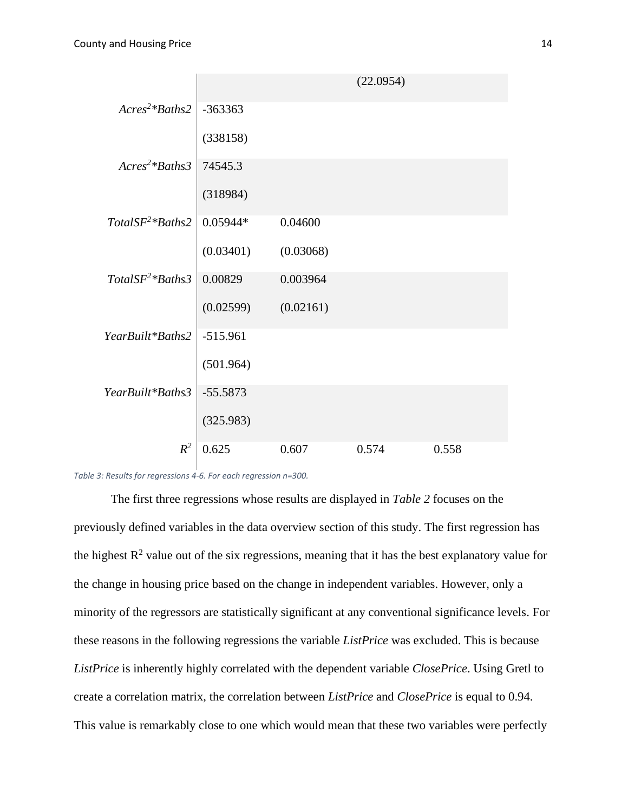|                   |            |           | (22.0954) |       |
|-------------------|------------|-----------|-----------|-------|
| $Arcres^2*Baths2$ | $-363363$  |           |           |       |
|                   | (338158)   |           |           |       |
| $Arcres^2*Baths3$ | 74545.3    |           |           |       |
|                   | (318984)   |           |           |       |
| $TotalSF2*Baths2$ | $0.05944*$ | 0.04600   |           |       |
|                   | (0.03401)  | (0.03068) |           |       |
| $TotalSF2*Baths3$ | 0.00829    | 0.003964  |           |       |
|                   | (0.02599)  | (0.02161) |           |       |
| YearBuilt*Baths2  | $-515.961$ |           |           |       |
|                   | (501.964)  |           |           |       |
| YearBuilt*Baths3  | $-55.5873$ |           |           |       |
|                   | (325.983)  |           |           |       |
| $R^2$             | 0.625      | 0.607     | 0.574     | 0.558 |

*Table 3: Results for regressions 4-6. For each regression n=300.* 

The first three regressions whose results are displayed in *Table 2* focuses on the previously defined variables in the data overview section of this study. The first regression has the highest  $R^2$  value out of the six regressions, meaning that it has the best explanatory value for the change in housing price based on the change in independent variables. However, only a minority of the regressors are statistically significant at any conventional significance levels. For these reasons in the following regressions the variable *ListPrice* was excluded. This is because *ListPrice* is inherently highly correlated with the dependent variable *ClosePrice*. Using Gretl to create a correlation matrix, the correlation between *ListPrice* and *ClosePrice* is equal to 0.94. This value is remarkably close to one which would mean that these two variables were perfectly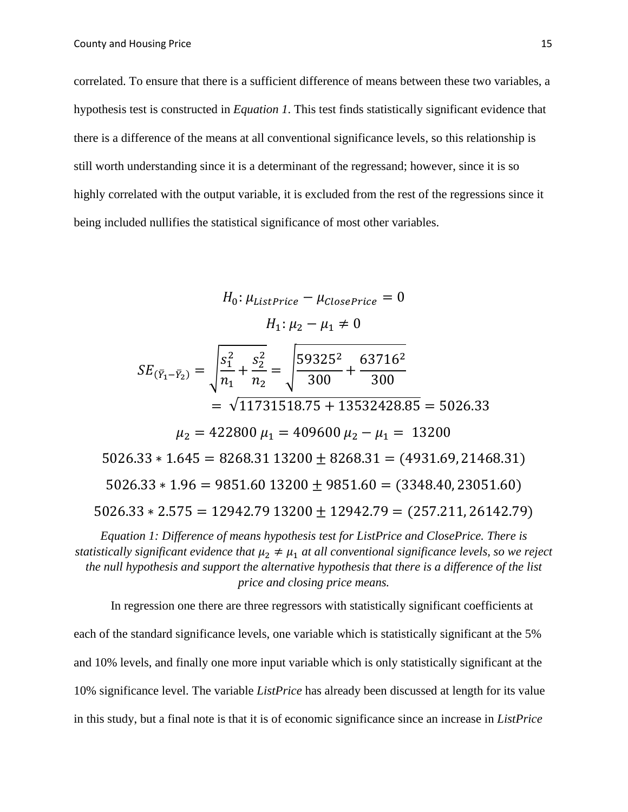correlated. To ensure that there is a sufficient difference of means between these two variables, a hypothesis test is constructed in *Equation 1*. This test finds statistically significant evidence that there is a difference of the means at all conventional significance levels, so this relationship is still worth understanding since it is a determinant of the regressand; however, since it is so highly correlated with the output variable, it is excluded from the rest of the regressions since it being included nullifies the statistical significance of most other variables.

$$
H_0: \mu_{ListPrice} - \mu_{ClosePrice} = 0
$$
  
\n
$$
H_1: \mu_2 - \mu_1 \neq 0
$$
  
\n
$$
SE_{(\bar{Y}_1 - \bar{Y}_2)} = \sqrt{\frac{s_1^2}{n_1} + \frac{s_2^2}{n_2}} = \sqrt{\frac{59325^2}{300} + \frac{63716^2}{300}}
$$
  
\n
$$
= \sqrt{11731518.75 + 13532428.85} = 5026.33
$$
  
\n
$$
\mu_2 = 422800 \mu_1 = 409600 \mu_2 - \mu_1 = 13200
$$
  
\n5026.33 \* 1.645 = 8268.31 13200 ± 8268.31 = (4931.69, 21468.31)  
\n5026.33 \* 1.96 = 9851.60 13200 ± 9851.60 = (3348.40, 23051.60)  
\n5026.33 \* 2.575 = 12942.79 13200 ± 12942.79 = (257.211, 26142.79)

*Equation 1: Difference of means hypothesis test for ListPrice and ClosePrice. There is statistically significant evidence that*  $\mu_2 \neq \mu_1$  *at all conventional significance levels, so we reject the null hypothesis and support the alternative hypothesis that there is a difference of the list price and closing price means.*

In regression one there are three regressors with statistically significant coefficients at each of the standard significance levels, one variable which is statistically significant at the 5% and 10% levels, and finally one more input variable which is only statistically significant at the 10% significance level. The variable *ListPrice* has already been discussed at length for its value in this study, but a final note is that it is of economic significance since an increase in *ListPrice*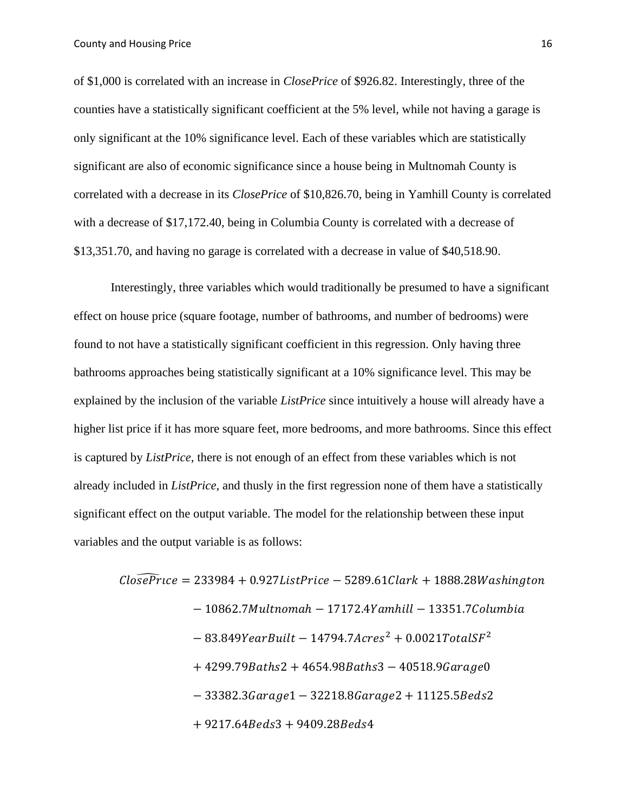of \$1,000 is correlated with an increase in *ClosePrice* of \$926.82. Interestingly, three of the counties have a statistically significant coefficient at the 5% level, while not having a garage is only significant at the 10% significance level. Each of these variables which are statistically significant are also of economic significance since a house being in Multnomah County is correlated with a decrease in its *ClosePrice* of \$10,826.70, being in Yamhill County is correlated with a decrease of \$17,172.40, being in Columbia County is correlated with a decrease of \$13,351.70, and having no garage is correlated with a decrease in value of \$40,518.90.

Interestingly, three variables which would traditionally be presumed to have a significant effect on house price (square footage, number of bathrooms, and number of bedrooms) were found to not have a statistically significant coefficient in this regression. Only having three bathrooms approaches being statistically significant at a 10% significance level. This may be explained by the inclusion of the variable *ListPrice* since intuitively a house will already have a higher list price if it has more square feet, more bedrooms, and more bathrooms. Since this effect is captured by *ListPrice*, there is not enough of an effect from these variables which is not already included in *ListPrice*, and thusly in the first regression none of them have a statistically significant effect on the output variable. The model for the relationship between these input variables and the output variable is as follows:

$$
Clo\widehat{sePrice} = 233984 + 0.927ListPrice - 5289.61Clark + 1888.28Washington
$$
\n
$$
- 10862.7Multnomah - 17172.4Yamhill - 13351.7Columbia
$$
\n
$$
- 83.849YearBuilder - 14794.7Arcres2 + 0.0021TotalSF2
$$
\n
$$
+ 4299.79Baths2 + 4654.98Baths3 - 40518.9Garage0
$$
\n
$$
- 33382.3Garage1 - 32218.8Garage2 + 11125.5Beds2
$$
\n
$$
+ 9217.64Beds3 + 9409.28Beds4
$$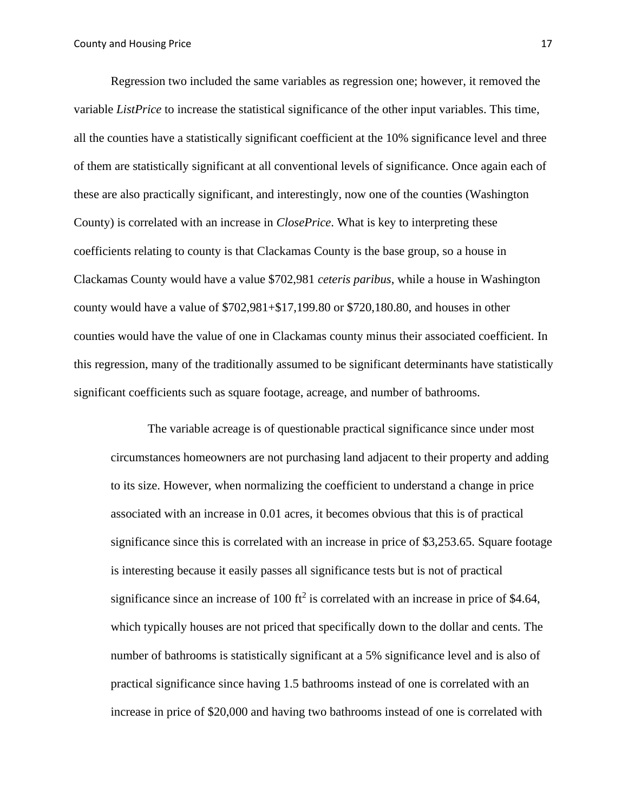Regression two included the same variables as regression one; however, it removed the variable *ListPrice* to increase the statistical significance of the other input variables. This time, all the counties have a statistically significant coefficient at the 10% significance level and three of them are statistically significant at all conventional levels of significance. Once again each of these are also practically significant, and interestingly, now one of the counties (Washington County) is correlated with an increase in *ClosePrice*. What is key to interpreting these coefficients relating to county is that Clackamas County is the base group, so a house in Clackamas County would have a value \$702,981 *ceteris paribus*, while a house in Washington county would have a value of \$702,981+\$17,199.80 or \$720,180.80, and houses in other counties would have the value of one in Clackamas county minus their associated coefficient. In this regression, many of the traditionally assumed to be significant determinants have statistically significant coefficients such as square footage, acreage, and number of bathrooms.

The variable acreage is of questionable practical significance since under most circumstances homeowners are not purchasing land adjacent to their property and adding to its size. However, when normalizing the coefficient to understand a change in price associated with an increase in 0.01 acres, it becomes obvious that this is of practical significance since this is correlated with an increase in price of \$3,253.65. Square footage is interesting because it easily passes all significance tests but is not of practical significance since an increase of 100  $ft^2$  is correlated with an increase in price of \$4.64, which typically houses are not priced that specifically down to the dollar and cents. The number of bathrooms is statistically significant at a 5% significance level and is also of practical significance since having 1.5 bathrooms instead of one is correlated with an increase in price of \$20,000 and having two bathrooms instead of one is correlated with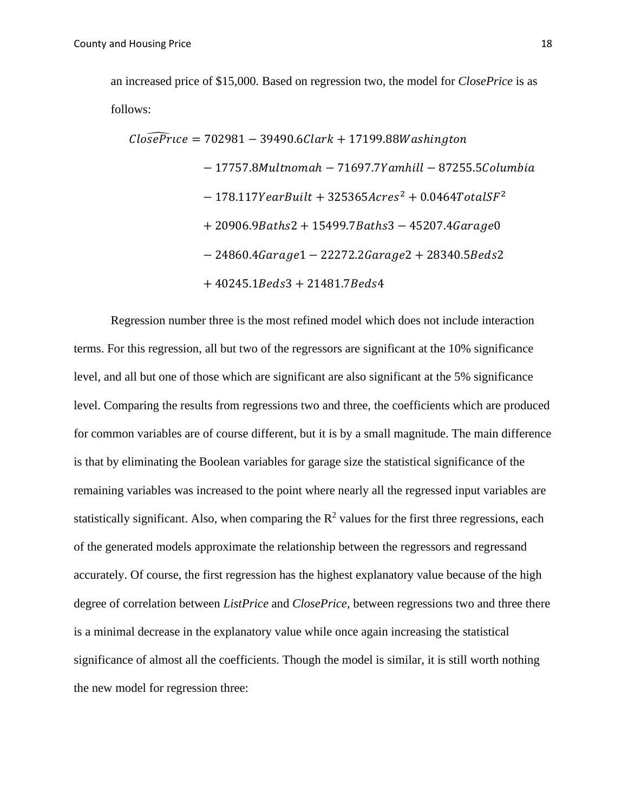an increased price of \$15,000. Based on regression two, the model for *ClosePrice* is as follows:

$$
Clo\widehat{sePrice} = 702981 - 39490.6Clark + 17199.88Washington
$$
\n
$$
- 17757.8Multnomah - 71697.7Yamhill - 87255.5Columbia
$$
\n
$$
- 178.117YearBuild + 325365Acres2 + 0.0464TotalSF2
$$
\n
$$
+ 20906.9Baths2 + 15499.7Baths3 - 45207.4Garage0
$$
\n
$$
- 24860.4Garage1 - 22272.2Garage2 + 28340.5Beds2
$$
\n
$$
+ 40245.1Beds3 + 21481.7Beds4
$$

Regression number three is the most refined model which does not include interaction terms. For this regression, all but two of the regressors are significant at the 10% significance level, and all but one of those which are significant are also significant at the 5% significance level. Comparing the results from regressions two and three, the coefficients which are produced for common variables are of course different, but it is by a small magnitude. The main difference is that by eliminating the Boolean variables for garage size the statistical significance of the remaining variables was increased to the point where nearly all the regressed input variables are statistically significant. Also, when comparing the  $\mathbb{R}^2$  values for the first three regressions, each of the generated models approximate the relationship between the regressors and regressand accurately. Of course, the first regression has the highest explanatory value because of the high degree of correlation between *ListPrice* and *ClosePrice*, between regressions two and three there is a minimal decrease in the explanatory value while once again increasing the statistical significance of almost all the coefficients. Though the model is similar, it is still worth nothing the new model for regression three: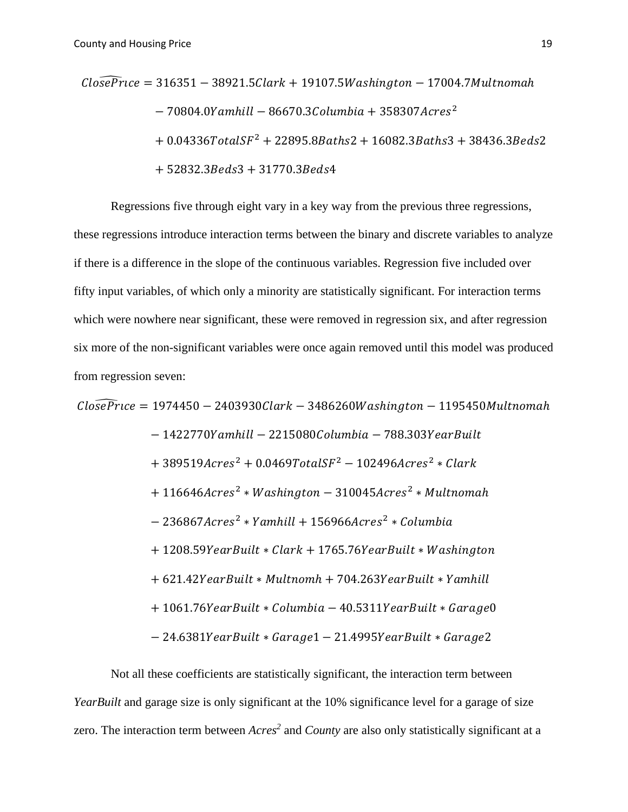$$
Clo\widehat{sePrice} = 316351 - 38921.5Clark + 19107.5 Washington - 17004.7Multnomah- 70804.0Yamhill - 86670.3Columbia + 358307Acres2+ 0.04336TotalSF2 + 22895.8Baths2 + 16082.3Baths3 + 38436.3Beds2+ 52832.3Beds3 + 31770.3Beds4
$$

Regressions five through eight vary in a key way from the previous three regressions, these regressions introduce interaction terms between the binary and discrete variables to analyze if there is a difference in the slope of the continuous variables. Regression five included over fifty input variables, of which only a minority are statistically significant. For interaction terms which were nowhere near significant, these were removed in regression six, and after regression six more of the non-significant variables were once again removed until this model was produced from regression seven:

$$
ClosePrice = 1974450 - 2403930Clark - 3486260Washington - 1195450Multnomah- 1422770Yamhill - 2215080Columbia - 788.303YearBuilder+ 389519Arces2 + 0.0469TotalSF2 - 102496Arces2 * Clark+ 116646Acres2 * Washington - 310045Acres2 * Multnomah- 236867Acres2 * Yamhill + 156966Acres2 * Columbia+ 1208.59YearBuilder * Clark + 1765.76YearBuilder * Washington+ 621.42YearBuilder * Multnomh + 704.263YearBuilder * Family+ 1061.76YearBuilder * Columbia - 40.5311YearBuilder *Garage0- 24.6381YearBuilder *Garage1 - 21.4995YearBuilder *Garage2
$$

Not all these coefficients are statistically significant, the interaction term between *YearBuilt* and garage size is only significant at the 10% significance level for a garage of size zero. The interaction term between *Acres<sup>2</sup>* and *County* are also only statistically significant at a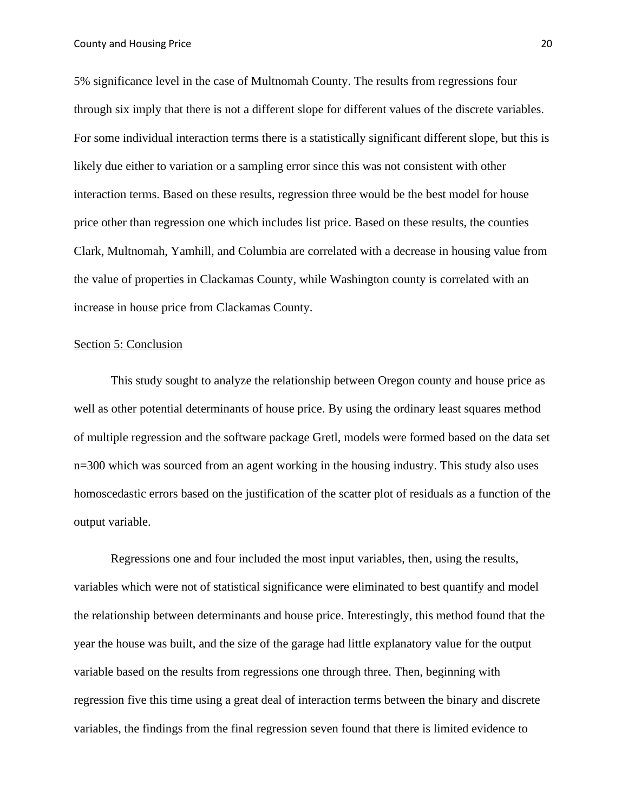5% significance level in the case of Multnomah County. The results from regressions four through six imply that there is not a different slope for different values of the discrete variables. For some individual interaction terms there is a statistically significant different slope, but this is likely due either to variation or a sampling error since this was not consistent with other interaction terms. Based on these results, regression three would be the best model for house price other than regression one which includes list price. Based on these results, the counties Clark, Multnomah, Yamhill, and Columbia are correlated with a decrease in housing value from the value of properties in Clackamas County, while Washington county is correlated with an increase in house price from Clackamas County.

#### Section 5: Conclusion

This study sought to analyze the relationship between Oregon county and house price as well as other potential determinants of house price. By using the ordinary least squares method of multiple regression and the software package Gretl, models were formed based on the data set n=300 which was sourced from an agent working in the housing industry. This study also uses homoscedastic errors based on the justification of the scatter plot of residuals as a function of the output variable.

Regressions one and four included the most input variables, then, using the results, variables which were not of statistical significance were eliminated to best quantify and model the relationship between determinants and house price. Interestingly, this method found that the year the house was built, and the size of the garage had little explanatory value for the output variable based on the results from regressions one through three. Then, beginning with regression five this time using a great deal of interaction terms between the binary and discrete variables, the findings from the final regression seven found that there is limited evidence to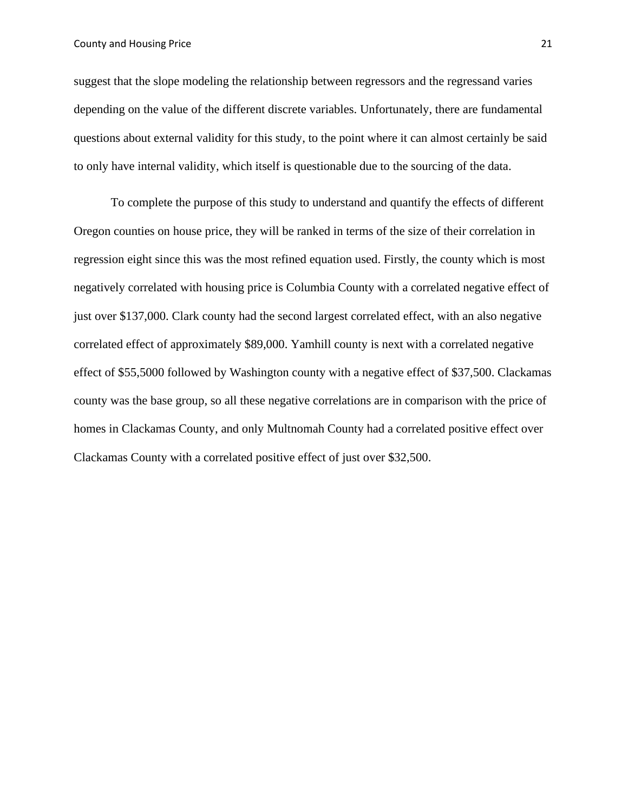#### County and Housing Price 21

suggest that the slope modeling the relationship between regressors and the regressand varies depending on the value of the different discrete variables. Unfortunately, there are fundamental questions about external validity for this study, to the point where it can almost certainly be said to only have internal validity, which itself is questionable due to the sourcing of the data.

To complete the purpose of this study to understand and quantify the effects of different Oregon counties on house price, they will be ranked in terms of the size of their correlation in regression eight since this was the most refined equation used. Firstly, the county which is most negatively correlated with housing price is Columbia County with a correlated negative effect of just over \$137,000. Clark county had the second largest correlated effect, with an also negative correlated effect of approximately \$89,000. Yamhill county is next with a correlated negative effect of \$55,5000 followed by Washington county with a negative effect of \$37,500. Clackamas county was the base group, so all these negative correlations are in comparison with the price of homes in Clackamas County, and only Multnomah County had a correlated positive effect over Clackamas County with a correlated positive effect of just over \$32,500.